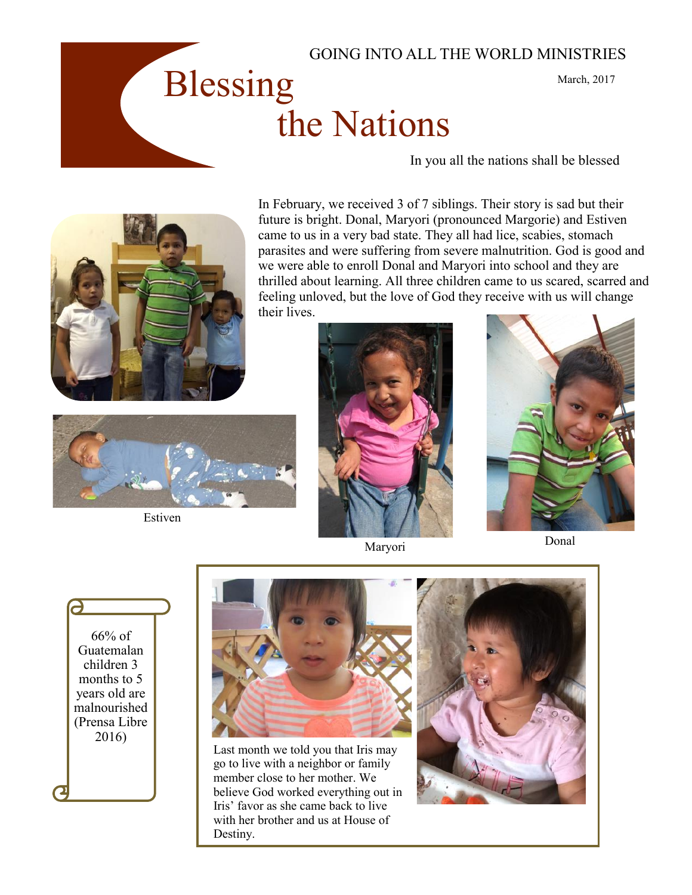





In February, we received 3 of 7 siblings. Their story is sad but their future is bright. Donal, Maryori (pronounced Margorie) and Estiven came to us in a very bad state. They all had lice, scabies, stomach parasites and were suffering from severe malnutrition. God is good and we were able to enroll Donal and Maryori into school and they are thrilled about learning. All three children came to us scared, scarred and feeling unloved, but the love of God they receive with us will change their lives.



Estiven







<u>a</u> 66% of Guatemalan children 3 months to 5 years old are malnourished (Prensa Libre 2016)



Last month we told you that Iris may go to live with a neighbor or family member close to her mother. We believe God worked everything out in Iris' favor as she came back to live with her brother and us at House of Destiny.